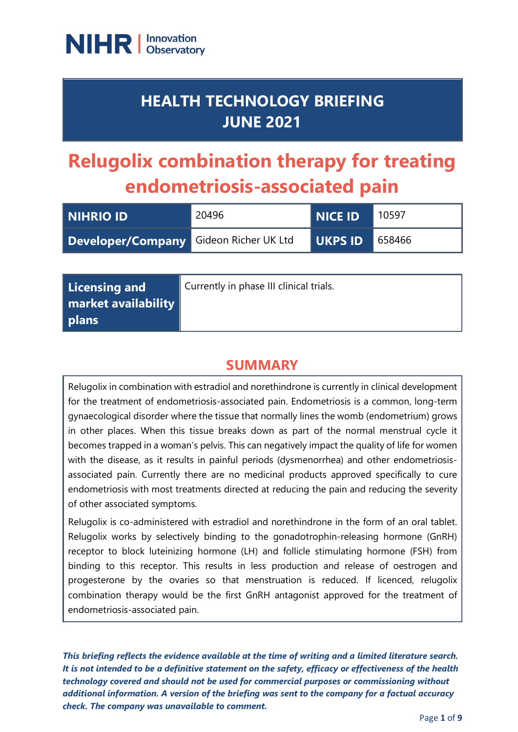

## **HEALTH TECHNOLOGY BRIEFING JUNE 2021**

# **Relugolix combination therapy for treating endometriosis-associated pain**

| <b>NIHRIO ID</b>                       | 20496 | <b>NICE ID</b> | 10597  |
|----------------------------------------|-------|----------------|--------|
| Developer/Company Gideon Richer UK Ltd |       | I UKPS ID I    | 658466 |

| Licensing and       | Currently in phase III clinical trials. |
|---------------------|-----------------------------------------|
| market availability |                                         |
| plans               |                                         |

## **SUMMARY**

Relugolix in combination with estradiol and norethindrone is currently in clinical development for the treatment of endometriosis-associated pain. Endometriosis is a common, long-term gynaecological disorder where the tissue that normally lines the womb (endometrium) grows in other places. When this tissue breaks down as part of the normal menstrual cycle it becomes trapped in a woman's pelvis. This can negatively impact the quality of life for women with the disease, as it results in painful periods (dysmenorrhea) and other endometriosisassociated pain. Currently there are no medicinal products approved specifically to cure endometriosis with most treatments directed at reducing the pain and reducing the severity of other associated symptoms.

Relugolix is co-administered with estradiol and norethindrone in the form of an oral tablet. Relugolix works by selectively binding to the gonadotrophin-releasing hormone (GnRH) receptor to block luteinizing hormone (LH) and follicle stimulating hormone (FSH) from binding to this receptor. This results in less production and release of oestrogen and progesterone by the ovaries so that menstruation is reduced. If licenced, relugolix combination therapy would be the first GnRH antagonist approved for the treatment of endometriosis-associated pain.

*This briefing reflects the evidence available at the time of writing and a limited literature search. It is not intended to be a definitive statement on the safety, efficacy or effectiveness of the health technology covered and should not be used for commercial purposes or commissioning without additional information. A version of the briefing was sent to the company for a factual accuracy check. The company was unavailable to comment.*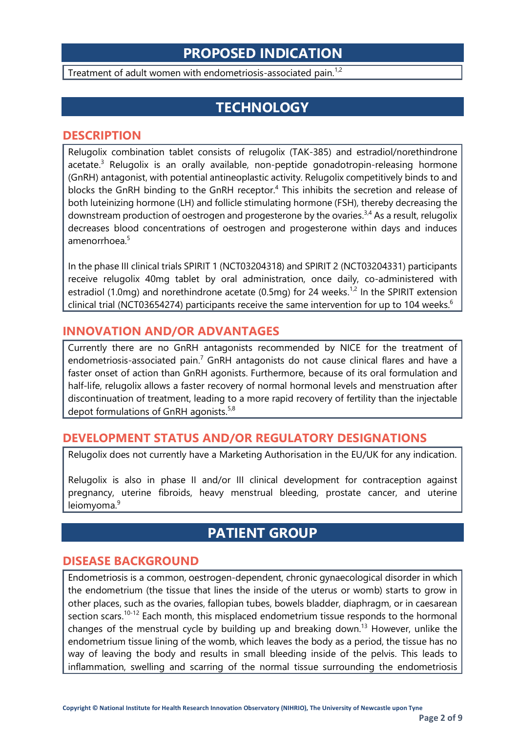## **PROPOSED INDICATION**

Treatment of adult women with endometriosis-associated pain.<sup>1,2</sup>

## **TECHNOLOGY**

#### **DESCRIPTION**

Relugolix combination tablet consists of relugolix (TAK-385) and estradiol/norethindrone acetate.<sup>3</sup> Relugolix is an orally available, non-peptide gonadotropin-releasing hormone (GnRH) antagonist, with potential antineoplastic activity. Relugolix competitively binds to and blocks the GnRH binding to the GnRH receptor. <sup>4</sup> This inhibits the secretion and release of both luteinizing hormone (LH) and follicle stimulating hormone (FSH), thereby decreasing the downstream production of oestrogen and progesterone by the ovaries.<sup>3,4</sup> As a result, relugolix decreases blood concentrations of oestrogen and progesterone within days and induces amenorrhoea.<sup>5</sup>

In the phase III clinical trials SPIRIT 1 (NCT03204318) and SPIRIT 2 (NCT03204331) participants receive relugolix 40mg tablet by oral administration, once daily, co-administered with estradiol (1.0mg) and norethindrone acetate (0.5mg) for 24 weeks.<sup>1,2</sup> In the SPIRIT extension clinical trial (NCT03654274) participants receive the same intervention for up to 104 weeks.<sup>6</sup>

#### **INNOVATION AND/OR ADVANTAGES**

Currently there are no GnRH antagonists recommended by NICE for the treatment of endometriosis-associated pain.<sup>7</sup> GnRH antagonists do not cause clinical flares and have a faster onset of action than GnRH agonists. Furthermore, because of its oral formulation and half-life, relugolix allows a faster recovery of normal hormonal levels and menstruation after discontinuation of treatment, leading to a more rapid recovery of fertility than the injectable depot formulations of GnRH agonists.<sup>5,8</sup>

#### **DEVELOPMENT STATUS AND/OR REGULATORY DESIGNATIONS**

Relugolix does not currently have a Marketing Authorisation in the EU/UK for any indication.

Relugolix is also in phase II and/or III clinical development for contraception against pregnancy, uterine fibroids, heavy menstrual bleeding, prostate cancer, and uterine leiomyoma.<sup>9</sup>

## **PATIENT GROUP**

#### **DISEASE BACKGROUND**

Endometriosis is a common, oestrogen-dependent, chronic gynaecological disorder in which the endometrium (the tissue that lines the inside of the uterus or womb) starts to grow in other places, such as the ovaries, fallopian tubes, bowels bladder, diaphragm, or in caesarean section scars.<sup>10-12</sup> Each month, this misplaced endometrium tissue responds to the hormonal changes of the menstrual cycle by building up and breaking down. <sup>13</sup> However, unlike the endometrium tissue lining of the womb, which leaves the body as a period, the tissue has no way of leaving the body and results in small bleeding inside of the pelvis. This leads to inflammation, swelling and scarring of the normal tissue surrounding the endometriosis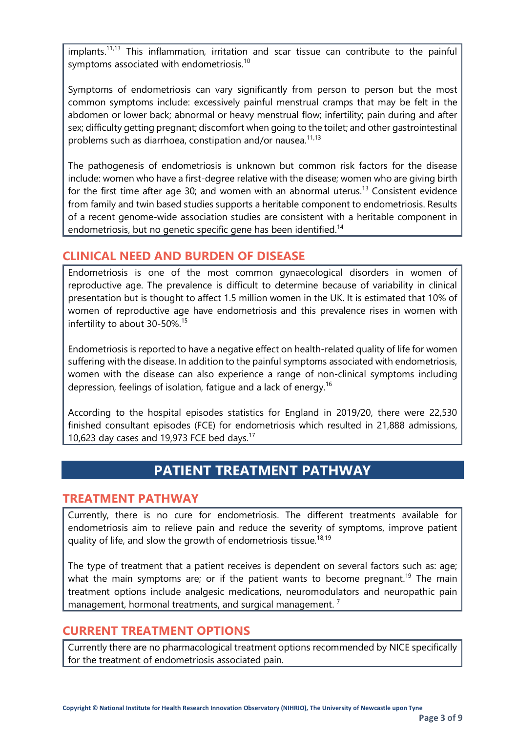implants.11,13 This inflammation, irritation and scar tissue can contribute to the painful symptoms associated with endometriosis.<sup>10</sup>

Symptoms of endometriosis can vary significantly from person to person but the most common symptoms include: excessively painful menstrual cramps that may be felt in the abdomen or lower back; abnormal or heavy menstrual flow; infertility; pain during and after sex; difficulty getting pregnant; discomfort when going to the toilet; and other gastrointestinal problems such as diarrhoea, constipation and/or nausea.<sup>11,13</sup>

The pathogenesis of endometriosis is unknown but common risk factors for the disease include: women who have a first-degree relative with the disease; women who are giving birth for the first time after age 30; and women with an abnormal uterus.<sup>13</sup> Consistent evidence from family and twin based studies supports a heritable component to endometriosis. Results of a recent genome-wide association studies are consistent with a heritable component in endometriosis, but no genetic specific gene has been identified.<sup>14</sup>

#### **CLINICAL NEED AND BURDEN OF DISEASE**

Endometriosis is one of the most common gynaecological disorders in women of reproductive age. The prevalence is difficult to determine because of variability in clinical presentation but is thought to affect 1.5 million women in the UK. It is estimated that 10% of women of reproductive age have endometriosis and this prevalence rises in women with infertility to about 30-50%.<sup>15</sup>

Endometriosis is reported to have a negative effect on health-related quality of life for women suffering with the disease. In addition to the painful symptoms associated with endometriosis, women with the disease can also experience a range of non-clinical symptoms including depression, feelings of isolation, fatigue and a lack of energy.16

According to the hospital episodes statistics for England in 2019/20, there were 22,530 finished consultant episodes (FCE) for endometriosis which resulted in 21,888 admissions, 10,623 day cases and 19,973 FCE bed days. $17$ 

## **PATIENT TREATMENT PATHWAY**

#### **TREATMENT PATHWAY**

Currently, there is no cure for endometriosis. The different treatments available for endometriosis aim to relieve pain and reduce the severity of symptoms, improve patient quality of life, and slow the growth of endometriosis tissue.<sup>18,19</sup>

The type of treatment that a patient receives is dependent on several factors such as: age; what the main symptoms are; or if the patient wants to become pregnant.<sup>19</sup> The main treatment options include analgesic medications, neuromodulators and neuropathic pain management, hormonal treatments, and surgical management.<sup>7</sup>

#### **CURRENT TREATMENT OPTIONS**

Currently there are no pharmacological treatment options recommended by NICE specifically for the treatment of endometriosis associated pain.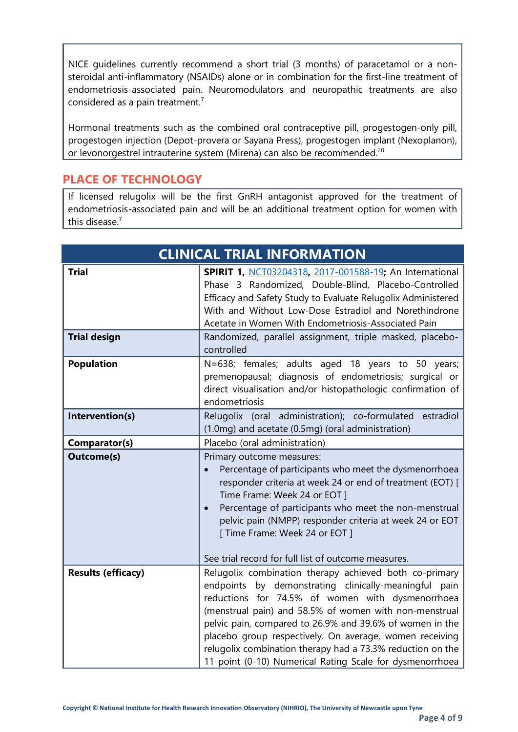NICE guidelines currently recommend a short trial (3 months) of paracetamol or a nonsteroidal anti-inflammatory (NSAIDs) alone or in combination for the first-line treatment of endometriosis-associated pain. Neuromodulators and neuropathic treatments are also considered as a pain treatment.7

Hormonal treatments such as the combined oral contraceptive pill, progestogen-only pill, progestogen injection (Depot-provera or Sayana Press), progestogen implant (Nexoplanon), or levonorgestrel intrauterine system (Mirena) can also be recommended.<sup>20</sup>

#### **PLACE OF TECHNOLOGY**

If licensed relugolix will be the first GnRH antagonist approved for the treatment of endometriosis-associated pain and will be an additional treatment option for women with this disease.<sup>7</sup>

| <b>CLINICAL TRIAL INFORMATION</b> |                                                                                                                                                                                                                                                                                                                                                                                                                                                                                |
|-----------------------------------|--------------------------------------------------------------------------------------------------------------------------------------------------------------------------------------------------------------------------------------------------------------------------------------------------------------------------------------------------------------------------------------------------------------------------------------------------------------------------------|
| <b>Trial</b>                      | SPIRIT 1, NCT03204318, 2017-001588-19; An International<br>Phase 3 Randomized, Double-Blind, Placebo-Controlled<br>Efficacy and Safety Study to Evaluate Relugolix Administered<br>With and Without Low-Dose Estradiol and Norethindrone<br>Acetate in Women With Endometriosis-Associated Pain                                                                                                                                                                                |
| <b>Trial design</b>               | Randomized, parallel assignment, triple masked, placebo-<br>controlled                                                                                                                                                                                                                                                                                                                                                                                                         |
| <b>Population</b>                 | N=638; females; adults aged 18 years to 50 years;<br>premenopausal; diagnosis of endometriosis; surgical or<br>direct visualisation and/or histopathologic confirmation of<br>endometriosis                                                                                                                                                                                                                                                                                    |
| Intervention(s)                   | Relugolix (oral administration); co-formulated estradiol<br>(1.0mg) and acetate (0.5mg) (oral administration)                                                                                                                                                                                                                                                                                                                                                                  |
| Comparator(s)                     | Placebo (oral administration)                                                                                                                                                                                                                                                                                                                                                                                                                                                  |
| <b>Outcome(s)</b>                 | Primary outcome measures:<br>Percentage of participants who meet the dysmenorrhoea<br>responder criteria at week 24 or end of treatment (EOT) [<br>Time Frame: Week 24 or EOT ]<br>Percentage of participants who meet the non-menstrual<br>$\bullet$<br>pelvic pain (NMPP) responder criteria at week 24 or EOT<br>[ Time Frame: Week 24 or EOT ]                                                                                                                             |
|                                   | See trial record for full list of outcome measures.                                                                                                                                                                                                                                                                                                                                                                                                                            |
| <b>Results (efficacy)</b>         | Relugolix combination therapy achieved both co-primary<br>endpoints by demonstrating clinically-meaningful pain<br>reductions for 74.5% of women with dysmenorrhoea<br>(menstrual pain) and 58.5% of women with non-menstrual<br>pelvic pain, compared to 26.9% and 39.6% of women in the<br>placebo group respectively. On average, women receiving<br>relugolix combination therapy had a 73.3% reduction on the<br>11-point (0-10) Numerical Rating Scale for dysmenorrhoea |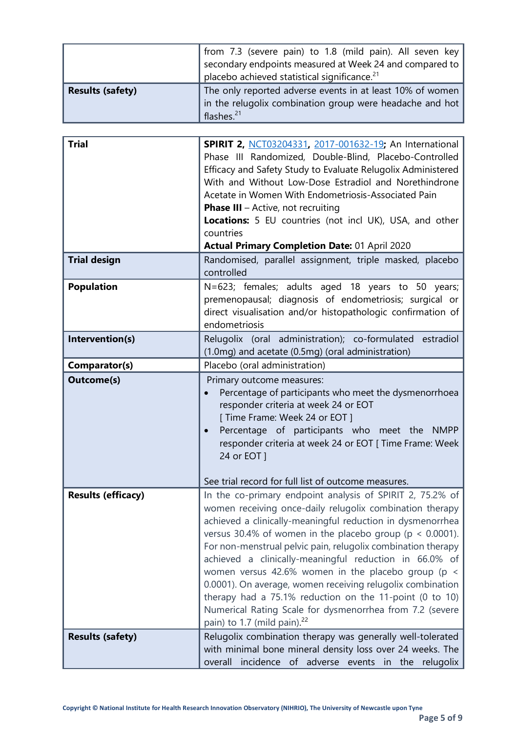|                         | from 7.3 (severe pain) to 1.8 (mild pain). All seven key  <br>secondary endpoints measured at Week 24 and compared to<br>placebo achieved statistical significance. <sup>21</sup> |
|-------------------------|-----------------------------------------------------------------------------------------------------------------------------------------------------------------------------------|
| <b>Results (safety)</b> | The only reported adverse events in at least 10% of women<br>in the relugolix combination group were headache and hot<br>flashes. $21$                                            |

| <b>Trial</b>              |                                                                                                                                                                                                                                                                                                                                                                                                                                                                                                                                                                                                                                                                     |
|---------------------------|---------------------------------------------------------------------------------------------------------------------------------------------------------------------------------------------------------------------------------------------------------------------------------------------------------------------------------------------------------------------------------------------------------------------------------------------------------------------------------------------------------------------------------------------------------------------------------------------------------------------------------------------------------------------|
|                           | <b>SPIRIT 2, NCT03204331, 2017-001632-19; An International</b><br>Phase III Randomized, Double-Blind, Placebo-Controlled<br>Efficacy and Safety Study to Evaluate Relugolix Administered<br>With and Without Low-Dose Estradiol and Norethindrone<br>Acetate in Women With Endometriosis-Associated Pain<br><b>Phase III</b> $-$ Active, not recruiting<br>Locations: 5 EU countries (not incl UK), USA, and other<br>countries<br><b>Actual Primary Completion Date: 01 April 2020</b>                                                                                                                                                                             |
| <b>Trial design</b>       | Randomised, parallel assignment, triple masked, placebo<br>controlled                                                                                                                                                                                                                                                                                                                                                                                                                                                                                                                                                                                               |
| <b>Population</b>         | N=623; females; adults aged 18 years to 50 years;<br>premenopausal; diagnosis of endometriosis; surgical or<br>direct visualisation and/or histopathologic confirmation of<br>endometriosis                                                                                                                                                                                                                                                                                                                                                                                                                                                                         |
| Intervention(s)           | Relugolix (oral administration); co-formulated estradiol<br>(1.0mg) and acetate (0.5mg) (oral administration)                                                                                                                                                                                                                                                                                                                                                                                                                                                                                                                                                       |
| Comparator(s)             | Placebo (oral administration)                                                                                                                                                                                                                                                                                                                                                                                                                                                                                                                                                                                                                                       |
| <b>Outcome(s)</b>         | Primary outcome measures:<br>Percentage of participants who meet the dysmenorrhoea<br>responder criteria at week 24 or EOT<br>[ Time Frame: Week 24 or EOT ]<br>Percentage of participants who meet the NMPP<br>responder criteria at week 24 or EOT [ Time Frame: Week<br>24 or EOT ]<br>See trial record for full list of outcome measures.                                                                                                                                                                                                                                                                                                                       |
| <b>Results (efficacy)</b> | In the co-primary endpoint analysis of SPIRIT 2, 75.2% of<br>women receiving once-daily relugolix combination therapy<br>achieved a clinically-meaningful reduction in dysmenorrhea<br>versus 30.4% of women in the placebo group ( $p < 0.0001$ ).<br>For non-menstrual pelvic pain, relugolix combination therapy<br>achieved a clinically-meaningful reduction in 66.0% of<br>women versus 42.6% women in the placebo group (p <<br>0.0001). On average, women receiving relugolix combination<br>therapy had a 75.1% reduction on the 11-point (0 to 10)<br>Numerical Rating Scale for dysmenorrhea from 7.2 (severe<br>pain) to 1.7 (mild pain). <sup>22</sup> |
| <b>Results (safety)</b>   | Relugolix combination therapy was generally well-tolerated<br>with minimal bone mineral density loss over 24 weeks. The<br>incidence of adverse events in the relugolix<br>overall                                                                                                                                                                                                                                                                                                                                                                                                                                                                                  |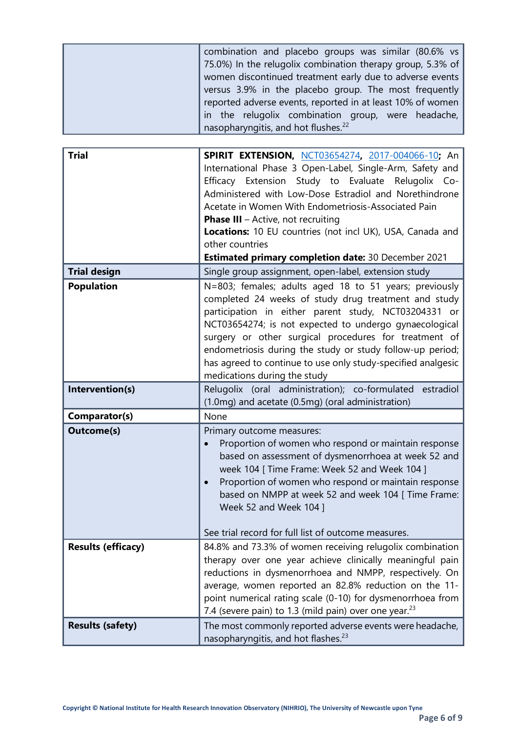| combination and placebo groups was similar (80.6% vs       |
|------------------------------------------------------------|
| 75.0%) In the relugolix combination therapy group, 5.3% of |
| women discontinued treatment early due to adverse events   |
| versus 3.9% in the placebo group. The most frequently      |
| reported adverse events, reported in at least 10% of women |
| in the relugolix combination group, were headache,         |
| nasopharyngitis, and hot flushes. <sup>22</sup>            |

| <b>Trial</b>              | SPIRIT EXTENSION, NCT03654274, 2017-004066-10; An<br>International Phase 3 Open-Label, Single-Arm, Safety and<br>Efficacy Extension Study to Evaluate Relugolix Co-<br>Administered with Low-Dose Estradiol and Norethindrone<br>Acetate in Women With Endometriosis-Associated Pain<br><b>Phase III</b> - Active, not recruiting<br>Locations: 10 EU countries (not incl UK), USA, Canada and<br>other countries                                      |
|---------------------------|--------------------------------------------------------------------------------------------------------------------------------------------------------------------------------------------------------------------------------------------------------------------------------------------------------------------------------------------------------------------------------------------------------------------------------------------------------|
| <b>Trial design</b>       | <b>Estimated primary completion date: 30 December 2021</b><br>Single group assignment, open-label, extension study                                                                                                                                                                                                                                                                                                                                     |
| <b>Population</b>         | N=803; females; adults aged 18 to 51 years; previously<br>completed 24 weeks of study drug treatment and study<br>participation in either parent study, NCT03204331 or<br>NCT03654274; is not expected to undergo gynaecological<br>surgery or other surgical procedures for treatment of<br>endometriosis during the study or study follow-up period;<br>has agreed to continue to use only study-specified analgesic<br>medications during the study |
| Intervention(s)           | Relugolix (oral administration); co-formulated estradiol<br>(1.0mg) and acetate (0.5mg) (oral administration)                                                                                                                                                                                                                                                                                                                                          |
| Comparator(s)             | None                                                                                                                                                                                                                                                                                                                                                                                                                                                   |
| <b>Outcome(s)</b>         | Primary outcome measures:<br>Proportion of women who respond or maintain response<br>based on assessment of dysmenorrhoea at week 52 and<br>week 104 [ Time Frame: Week 52 and Week 104 ]<br>Proportion of women who respond or maintain response<br>based on NMPP at week 52 and week 104 [ Time Frame:<br>Week 52 and Week 104 ]<br>See trial record for full list of outcome measures.                                                              |
| <b>Results (efficacy)</b> | 84.8% and 73.3% of women receiving relugolix combination<br>therapy over one year achieve clinically meaningful pain<br>reductions in dysmenorrhoea and NMPP, respectively. On<br>average, women reported an 82.8% reduction on the 11-<br>point numerical rating scale (0-10) for dysmenorrhoea from<br>7.4 (severe pain) to 1.3 (mild pain) over one year. <sup>23</sup>                                                                             |
| <b>Results (safety)</b>   | The most commonly reported adverse events were headache,<br>nasopharyngitis, and hot flashes. <sup>23</sup>                                                                                                                                                                                                                                                                                                                                            |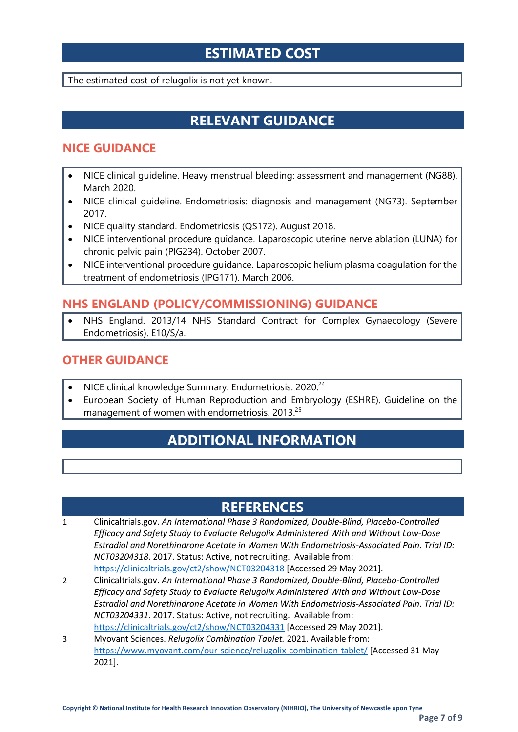## **ESTIMATED COST**

The estimated cost of relugolix is not yet known.

## **RELEVANT GUIDANCE**

#### **NICE GUIDANCE**

- NICE clinical guideline. Heavy menstrual bleeding: assessment and management (NG88). March 2020.
- NICE clinical guideline. Endometriosis: diagnosis and management (NG73). September 2017.
- NICE quality standard. Endometriosis (QS172). August 2018.
- NICE interventional procedure guidance. Laparoscopic uterine nerve ablation (LUNA) for chronic pelvic pain (PIG234). October 2007.
- NICE interventional procedure guidance. Laparoscopic helium plasma coagulation for the treatment of endometriosis (IPG171). March 2006.

#### **NHS ENGLAND (POLICY/COMMISSIONING) GUIDANCE**

• NHS England. 2013/14 NHS Standard Contract for Complex Gynaecology (Severe Endometriosis). E10/S/a.

#### **OTHER GUIDANCE**

- NICE clinical knowledge Summary. Endometriosis. 2020.<sup>24</sup>
- European Society of Human Reproduction and Embryology (ESHRE). Guideline on the management of women with endometriosis. 2013.25

## **ADDITIONAL INFORMATION**

## **REFERENCES**

- 1 Clinicaltrials.gov. *An International Phase 3 Randomized, Double-Blind, Placebo-Controlled Efficacy and Safety Study to Evaluate Relugolix Administered With and Without Low-Dose Estradiol and Norethindrone Acetate in Women With Endometriosis-Associated Pain*. *Trial ID: NCT03204318*. 2017. Status: Active, not recruiting. Available from: <https://clinicaltrials.gov/ct2/show/NCT03204318> [Accessed 29 May 2021].
- 2 Clinicaltrials.gov. *An International Phase 3 Randomized, Double-Blind, Placebo-Controlled Efficacy and Safety Study to Evaluate Relugolix Administered With and Without Low-Dose Estradiol and Norethindrone Acetate in Women With Endometriosis-Associated Pain*. *Trial ID: NCT03204331*. 2017. Status: Active, not recruiting. Available from: <https://clinicaltrials.gov/ct2/show/NCT03204331> [Accessed 29 May 2021].
- 3 Myovant Sciences. *Relugolix Combination Tablet.* 2021. Available from: <https://www.myovant.com/our-science/relugolix-combination-tablet/> [Accessed 31 May 2021].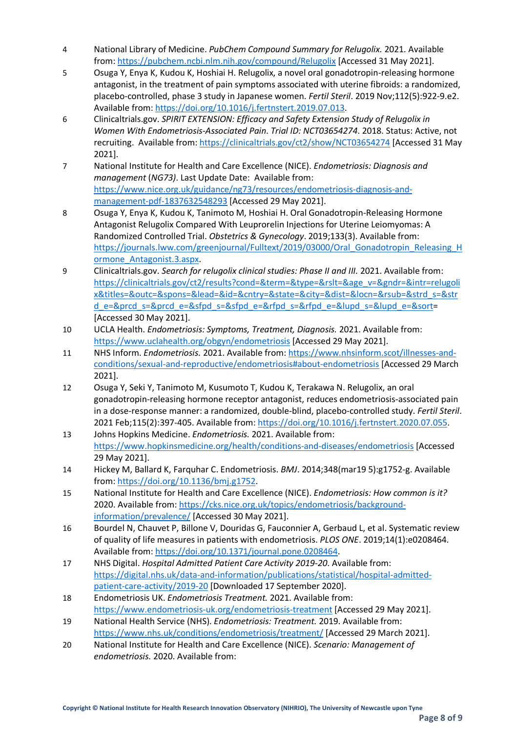- 4 National Library of Medicine. *PubChem Compound Summary for Relugolix.* 2021. Available from:<https://pubchem.ncbi.nlm.nih.gov/compound/Relugolix> [Accessed 31 May 2021].
- 5 Osuga Y, Enya K, Kudou K, Hoshiai H. Relugolix, a novel oral gonadotropin-releasing hormone antagonist, in the treatment of pain symptoms associated with uterine fibroids: a randomized, placebo-controlled, phase 3 study in Japanese women. *Fertil Steril*. 2019 Nov;112(5):922-9.e2. Available from[: https://doi.org/10.1016/j.fertnstert.2019.07.013.](https://doi.org/10.1016/j.fertnstert.2019.07.013)
- 6 Clinicaltrials.gov. *SPIRIT EXTENSION: Efficacy and Safety Extension Study of Relugolix in Women With Endometriosis-Associated Pain*. *Trial ID: NCT03654274*. 2018. Status: Active, not recruiting. Available from[: https://clinicaltrials.gov/ct2/show/NCT03654274](https://clinicaltrials.gov/ct2/show/NCT03654274) [Accessed 31 May 2021].
- 7 National Institute for Health and Care Excellence (NICE). *Endometriosis: Diagnosis and management* (*NG73)*. Last Update Date: Available from: [https://www.nice.org.uk/guidance/ng73/resources/endometriosis-diagnosis-and](https://www.nice.org.uk/guidance/ng73/resources/endometriosis-diagnosis-and-management-pdf-1837632548293)[management-pdf-1837632548293](https://www.nice.org.uk/guidance/ng73/resources/endometriosis-diagnosis-and-management-pdf-1837632548293) [Accessed 29 May 2021].
- 8 Osuga Y, Enya K, Kudou K, Tanimoto M, Hoshiai H. Oral Gonadotropin-Releasing Hormone Antagonist Relugolix Compared With Leuprorelin Injections for Uterine Leiomyomas: A Randomized Controlled Trial. *Obstetrics & Gynecology*. 2019;133(3). Available from: [https://journals.lww.com/greenjournal/Fulltext/2019/03000/Oral\\_Gonadotropin\\_Releasing\\_H](https://journals.lww.com/greenjournal/Fulltext/2019/03000/Oral_Gonadotropin_Releasing_Hormone_Antagonist.3.aspx) [ormone\\_Antagonist.3.aspx.](https://journals.lww.com/greenjournal/Fulltext/2019/03000/Oral_Gonadotropin_Releasing_Hormone_Antagonist.3.aspx)
- 9 Clinicaltrials.gov. *Search for relugolix clinical studies: Phase II and III.* 2021. Available from: [https://clinicaltrials.gov/ct2/results?cond=&term=&type=&rslt=&age\\_v=&gndr=&intr=relugoli](https://clinicaltrials.gov/ct2/results?cond=&term=&type=&rslt=&age_v=&gndr=&intr=relugolix&titles=&outc=&spons=&lead=&id=&cntry=&state=&city=&dist=&locn=&rsub=&strd_s=&strd_e=&prcd_s=&prcd_e=&sfpd_s=&sfpd_e=&rfpd_s=&rfpd_e=&lupd_s=&lupd_e=&sort) [x&titles=&outc=&spons=&lead=&id=&cntry=&state=&city=&dist=&locn=&rsub=&strd\\_s=&str](https://clinicaltrials.gov/ct2/results?cond=&term=&type=&rslt=&age_v=&gndr=&intr=relugolix&titles=&outc=&spons=&lead=&id=&cntry=&state=&city=&dist=&locn=&rsub=&strd_s=&strd_e=&prcd_s=&prcd_e=&sfpd_s=&sfpd_e=&rfpd_s=&rfpd_e=&lupd_s=&lupd_e=&sort) [d\\_e=&prcd\\_s=&prcd\\_e=&sfpd\\_s=&sfpd\\_e=&rfpd\\_s=&rfpd\\_e=&lupd\\_s=&lupd\\_e=&sort=](https://clinicaltrials.gov/ct2/results?cond=&term=&type=&rslt=&age_v=&gndr=&intr=relugolix&titles=&outc=&spons=&lead=&id=&cntry=&state=&city=&dist=&locn=&rsub=&strd_s=&strd_e=&prcd_s=&prcd_e=&sfpd_s=&sfpd_e=&rfpd_s=&rfpd_e=&lupd_s=&lupd_e=&sort) [Accessed 30 May 2021].
- 10 UCLA Health. *Endometriosis: Symptoms, Treatment, Diagnosis.* 2021. Available from: <https://www.uclahealth.org/obgyn/endometriosis> [Accessed 29 May 2021].
- 11 NHS Inform. *Endometriosis.* 2021. Available from[: https://www.nhsinform.scot/illnesses-and](https://www.nhsinform.scot/illnesses-and-conditions/sexual-and-reproductive/endometriosis#about-endometriosis)[conditions/sexual-and-reproductive/endometriosis#about-endometriosis](https://www.nhsinform.scot/illnesses-and-conditions/sexual-and-reproductive/endometriosis#about-endometriosis) [Accessed 29 March 2021].
- 12 Osuga Y, Seki Y, Tanimoto M, Kusumoto T, Kudou K, Terakawa N. Relugolix, an oral gonadotropin-releasing hormone receptor antagonist, reduces endometriosis-associated pain in a dose-response manner: a randomized, double-blind, placebo-controlled study. *Fertil Steril*. 2021 Feb;115(2):397-405. Available from[: https://doi.org/10.1016/j.fertnstert.2020.07.055.](https://doi.org/10.1016/j.fertnstert.2020.07.055)
- 13 Johns Hopkins Medicine. *Endometriosis.* 2021. Available from: <https://www.hopkinsmedicine.org/health/conditions-and-diseases/endometriosis> [Accessed 29 May 2021].
- 14 Hickey M, Ballard K, Farquhar C. Endometriosis. *BMJ*. 2014;348(mar19 5):g1752-g. Available from: [https://doi.org/10.1136/bmj.g1752.](https://doi.org/10.1136/bmj.g1752)
- 15 National Institute for Health and Care Excellence (NICE). *Endometriosis: How common is it?* 2020. Available from: [https://cks.nice.org.uk/topics/endometriosis/background](https://cks.nice.org.uk/topics/endometriosis/background-information/prevalence/)[information/prevalence/](https://cks.nice.org.uk/topics/endometriosis/background-information/prevalence/) [Accessed 30 May 2021].
- 16 Bourdel N, Chauvet P, Billone V, Douridas G, Fauconnier A, Gerbaud L, et al. Systematic review of quality of life measures in patients with endometriosis. *PLOS ONE*. 2019;14(1):e0208464. Available from[: https://doi.org/10.1371/journal.pone.0208464.](https://doi.org/10.1371/journal.pone.0208464)
- 17 NHS Digital. *Hospital Admitted Patient Care Activity 2019-20*. Available from: [https://digital.nhs.uk/data-and-information/publications/statistical/hospital-admitted](https://digital.nhs.uk/data-and-information/publications/statistical/hospital-admitted-patient-care-activity/2019-20)[patient-care-activity/2019-20](https://digital.nhs.uk/data-and-information/publications/statistical/hospital-admitted-patient-care-activity/2019-20) [Downloaded 17 September 2020].
- 18 Endometriosis UK. *Endometriosis Treatment.* 2021. Available from: <https://www.endometriosis-uk.org/endometriosis-treatment> [Accessed 29 May 2021].
- 19 National Health Service (NHS). *Endometriosis: Treatment.* 2019. Available from: <https://www.nhs.uk/conditions/endometriosis/treatment/> [Accessed 29 March 2021].
- 20 National Institute for Health and Care Excellence (NICE). *Scenario: Management of endometriosis.* 2020. Available from: